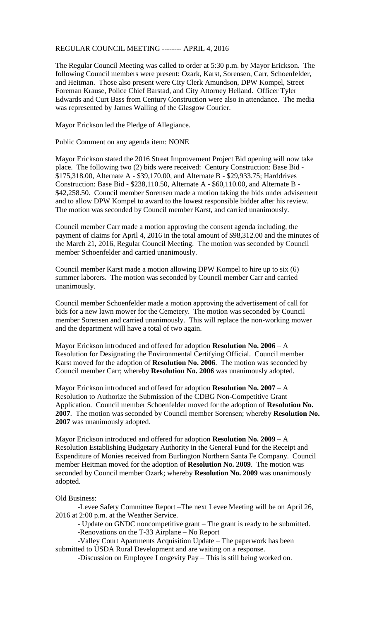REGULAR COUNCIL MEETING -------- APRIL 4, 2016

The Regular Council Meeting was called to order at 5:30 p.m. by Mayor Erickson. The following Council members were present: Ozark, Karst, Sorensen, Carr, Schoenfelder, and Heitman. Those also present were City Clerk Amundson, DPW Kompel, Street Foreman Krause, Police Chief Barstad, and City Attorney Helland. Officer Tyler Edwards and Curt Bass from Century Construction were also in attendance. The media was represented by James Walling of the Glasgow Courier.

Mayor Erickson led the Pledge of Allegiance.

Public Comment on any agenda item: NONE

Mayor Erickson stated the 2016 Street Improvement Project Bid opening will now take place. The following two (2) bids were received: Century Construction: Base Bid - \$175,318.00, Alternate A - \$39,170.00, and Alternate B - \$29,933.75; Harddrives Construction: Base Bid - \$238,110.50, Alternate A - \$60,110.00, and Alternate B - \$42,258.50. Council member Sorensen made a motion taking the bids under advisement and to allow DPW Kompel to award to the lowest responsible bidder after his review. The motion was seconded by Council member Karst, and carried unanimously.

Council member Carr made a motion approving the consent agenda including, the payment of claims for April 4, 2016 in the total amount of \$98,312.00 and the minutes of the March 21, 2016, Regular Council Meeting. The motion was seconded by Council member Schoenfelder and carried unanimously.

Council member Karst made a motion allowing DPW Kompel to hire up to six (6) summer laborers. The motion was seconded by Council member Carr and carried unanimously.

Council member Schoenfelder made a motion approving the advertisement of call for bids for a new lawn mower for the Cemetery. The motion was seconded by Council member Sorensen and carried unanimously. This will replace the non-working mower and the department will have a total of two again.

Mayor Erickson introduced and offered for adoption **Resolution No. 2006** – A Resolution for Designating the Environmental Certifying Official. Council member Karst moved for the adoption of **Resolution No. 2006**. The motion was seconded by Council member Carr; whereby **Resolution No. 2006** was unanimously adopted.

Mayor Erickson introduced and offered for adoption **Resolution No. 2007** – A Resolution to Authorize the Submission of the CDBG Non-Competitive Grant Application. Council member Schoenfelder moved for the adoption of **Resolution No. 2007**. The motion was seconded by Council member Sorensen; whereby **Resolution No. 2007** was unanimously adopted.

Mayor Erickson introduced and offered for adoption **Resolution No. 2009** – A Resolution Establishing Budgetary Authority in the General Fund for the Receipt and Expenditure of Monies received from Burlington Northern Santa Fe Company. Council member Heitman moved for the adoption of **Resolution No. 2009**. The motion was seconded by Council member Ozark; whereby **Resolution No. 2009** was unanimously adopted.

Old Business:

-Levee Safety Committee Report –The next Levee Meeting will be on April 26, 2016 at 2:00 p.m. at the Weather Service.

- Update on GNDC noncompetitive grant – The grant is ready to be submitted.

-Renovations on the T-33 Airplane – No Report

-Valley Court Apartments Acquisition Update – The paperwork has been submitted to USDA Rural Development and are waiting on a response.

-Discussion on Employee Longevity Pay – This is still being worked on.